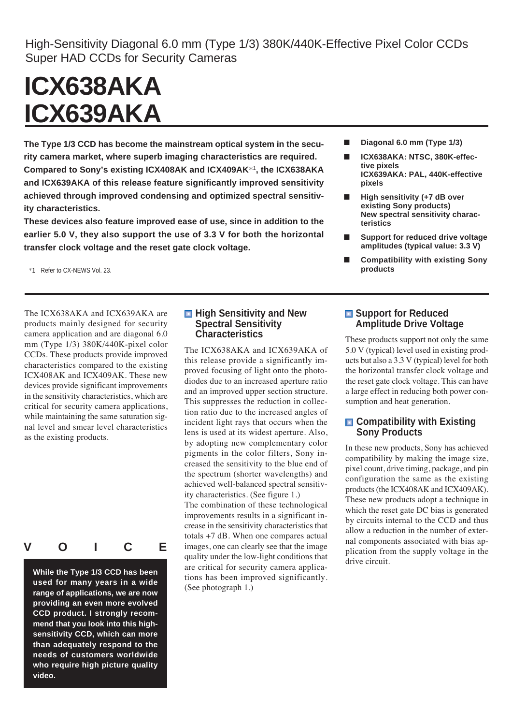High-Sensitivity Diagonal 6.0 mm (Type 1/3) 380K/440K-Effective Pixel Color CCDs Super HAD CCDs for Security Cameras

# **ICX638AKA ICX639AKA**

**The Type 1/3 CCD has become the mainstream optical system in the security camera market, where superb imaging characteristics are required. Compared to Sony's existing ICX408AK and ICX409AK**\*<sup>1</sup> **, the ICX638AKA and ICX639AKA of this release feature significantly improved sensitivity achieved through improved condensing and optimized spectral sensitivity characteristics.**

**These devices also feature improved ease of use, since in addition to the earlier 5.0 V, they also support the use of 3.3 V for both the horizontal transfer clock voltage and the reset gate clock voltage.**

\*1 Refer to CX-NEWS Vol. 23.

The ICX638AKA and ICX639AKA are products mainly designed for security camera application and are diagonal 6.0 mm (Type 1/3) 380K/440K-pixel color CCDs. These products provide improved characteristics compared to the existing ICX408AK and ICX409AK. These new devices provide significant improvements in the sensitivity characteristics, which are critical for security camera applications, while maintaining the same saturation signal level and smear level characteristics as the existing products.



**While the Type 1/3 CCD has been used for many years in a wide range of applications, we are now providing an even more evolved CCD product. I strongly recommend that you look into this highsensitivity CCD, which can more than adequately respond to the needs of customers worldwide who require high picture quality video.**

#### **High Sensitivity and New Spectral Sensitivity Characteristics**

The ICX638AKA and ICX639AKA of this release provide a significantly improved focusing of light onto the photodiodes due to an increased aperture ratio and an improved upper section structure. This suppresses the reduction in collection ratio due to the increased angles of incident light rays that occurs when the lens is used at its widest aperture. Also, by adopting new complementary color pigments in the color filters, Sony increased the sensitivity to the blue end of the spectrum (shorter wavelengths) and achieved well-balanced spectral sensitivity characteristics. (See figure 1.)

The combination of these technological improvements results in a significant increase in the sensitivity characteristics that totals +7 dB. When one compares actual images, one can clearly see that the image quality under the low-light conditions that are critical for security camera applications has been improved significantly. (See photograph 1.)

- **Diagonal 6.0 mm (Type 1/3)**
- **ICX638AKA: NTSC, 380K-effective pixels ICX639AKA: PAL, 440K-effective pixels**
- **High sensitivity (+7 dB over existing Sony products) New spectral sensitivity characteristics**
- **Support for reduced drive voltage amplitudes (typical value: 3.3 V)**
- **Compatibility with existing Sony products**

## **E** Support for Reduced **Amplitude Drive Voltage**

These products support not only the same 5.0 V (typical) level used in existing products but also a 3.3 V (typical) level for both the horizontal transfer clock voltage and the reset gate clock voltage. This can have a large effect in reducing both power consumption and heat generation.

## $\Box$  Compatibility with Existing **Sony Products**

In these new products, Sony has achieved compatibility by making the image size, pixel count, drive timing, package, and pin configuration the same as the existing products (the ICX408AK and ICX409AK). These new products adopt a technique in which the reset gate DC bias is generated by circuits internal to the CCD and thus allow a reduction in the number of external components associated with bias application from the supply voltage in the drive circuit.